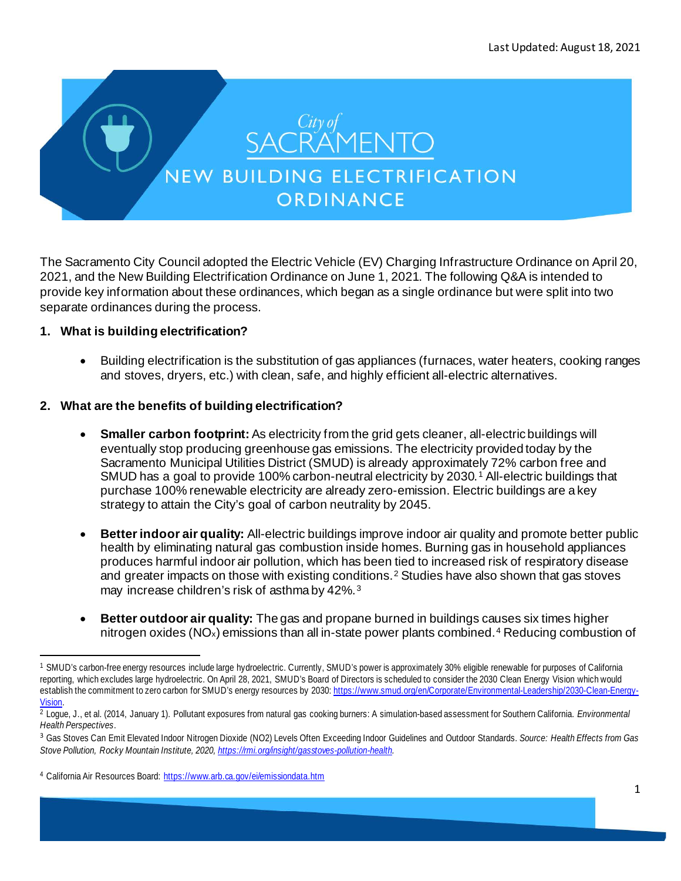

The Sacramento City Council adopted the Electric Vehicle (EV) Charging Infrastructure Ordinance on April 20, 2021, and the New Building Electrification Ordinance on June 1, 2021. The following Q&A is intended to provide key information about these ordinances, which began as a single ordinance but were split into two separate ordinances during the process.

# **1. What is building electrification?**

• Building electrification is the substitution of gas appliances (furnaces, water heaters, cooking ranges and stoves, dryers, etc.) with clean, safe, and highly efficient all-electric alternatives.

# **2. What are the benefits of building electrification?**

- **Smaller carbon footprint:**As electricity from the grid gets cleaner, all-electric buildings will eventually stop producing greenhouse gas emissions. The electricity provided today by the Sacramento Municipal Utilities District (SMUD) is already approximately 72% carbon free and SMUD has a goal to provide [1](#page-0-0)00% carbon-neutral electricity by 2030.<sup>1</sup> All-electric buildings that purchase 100% renewable electricity are already zero-emission. Electric buildings are a key strategy to attain the City's goal of carbon neutrality by 2045.
- **Better indoor air quality:** All-electric buildings improve indoor air quality and promote better public health by eliminating natural gas combustion inside homes. Burning gas in household appliances produces harmful indoor air pollution, which has been tied to increased risk of respiratory disease and greater impacts on those with existing conditions.<sup>[2](#page-0-1)</sup> Studies have also shown that gas stoves may increase children's risk of asthma by 42%.<sup>[3](#page-0-2)</sup>
- **Better outdoor air quality:** The gas and propane burned in buildings causes six times higher nitrogen oxides ( $NO_x$ ) emissions than all in-state power plants combined.<sup>[4](#page-0-3)</sup> Reducing combustion of

<span id="page-0-0"></span><sup>1</sup> SMUD's carbon-free energy resources include large hydroelectric. Currently, SMUD's power is approximately 30% eligible renewable for purposes of California reporting, which excludes large hydroelectric. On April 28, 2021, SMUD's Board of Directors is scheduled to consider the 2030 Clean Energy Vision which would establish the commitment to zero carbon for SMUD's energy resources by 2030[: https://www.smud.org/en/Corporate/Environmental-Leadership/2030-Clean-Energy-](https://www.smud.org/en/Corporate/Environmental-Leadership/2030-Clean-Energy-Vision)[Vision.](https://www.smud.org/en/Corporate/Environmental-Leadership/2030-Clean-Energy-Vision) 2 Logue, J., et al. (2014, January 1). Pollutant exposures from natural gas cooking burners: A simulation-based assessment for Southern California. *Environmental* 

<span id="page-0-1"></span>*Health Perspectives*.

<span id="page-0-2"></span><sup>3</sup> Gas Stoves Can Emit Elevated Indoor Nitrogen Dioxide (NO2) Levels Often Exceeding Indoor Guidelines and Outdoor Standards. *Source: Health Effects from Gas Stove Pollution, Rocky Mountain Institute, 2020[, https://rmi.org/insight/gasstoves-pollution-health.](https://rmi.org/insight/gasstoves-pollution-health)* 

<span id="page-0-3"></span><sup>4</sup> California Air Resources Board[: https://www.arb.ca.gov/ei/emissiondata.htm](https://www.arb.ca.gov/ei/emissiondata.htm)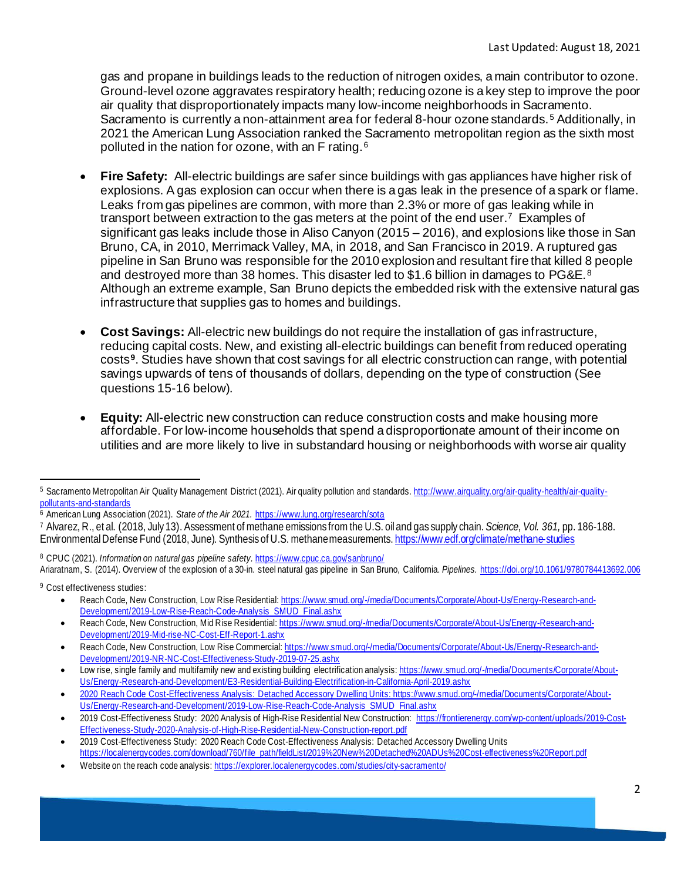gas and propane in buildings leads to the reduction of nitrogen oxides, a main contributor to ozone. Ground-level ozone aggravates respiratory health; reducing ozone is a key step to improve the poor air quality that disproportionately impacts many low-income neighborhoods in Sacramento. Sacramento is currently a non-attainment area for federal 8-hour ozone standards.<sup>[5](#page-1-0)</sup> Additionally, in 2021 the American Lung Association ranked the Sacramento metropolitan region as the sixth most polluted in the nation for ozone, with an F rating.<sup>[6](#page-1-1)</sup>

- **Fire Safety:** All-electric buildings are safer since buildings with gas appliances have higher risk of explosions. A gas explosion can occur when there is a gas leak in the presence of a spark or flame. Leaks from gas pipelines are common, with more than 2.3% or more of gas leaking while in transport between extraction to the gas meters at the point of the end user.<sup>[7](#page-1-2)</sup> Examples of significant gas leaks include those in Aliso Canyon (2015 – 2016), and explosions like those in San Bruno, CA, in 2010, Merrimack Valley, MA, in 2018, and San Francisco in 2019. A ruptured gas pipeline in San Bruno was responsible for the 2010 explosion and resultant fire that killed 8 people and destroyed more than 3[8](#page-1-3) homes. This disaster led to \$1.6 billion in damages to PG&E.<sup>8</sup> Although an extreme example, San Bruno depicts the embedded risk with the extensive natural gas infrastructure that supplies gas to homes and buildings.
- **Cost Savings:** All-electric new buildings do not require the installation of gas infrastructure, reducing capital costs. New, and existing all-electric buildings can benefit from reduced operating costs**[9](#page-1-4)**. Studies have shown that cost savings for all electric construction can range, with potential savings upwards of tens of thousands of dollars, depending on the type of construction (See questions 15-16 below).
- **Equity:** All-electric new construction can reduce construction costs and make housing more affordable. For low-income households that spend a disproportionate amount of their income on utilities and are more likely to live in substandard housing or neighborhoods with worse air quality

<span id="page-1-3"></span><sup>8</sup> CPUC (2021). *Information on natural gas pipeline safety.* <https://www.cpuc.ca.gov/sanbruno/> Ariaratnam, S. (2014). Overview of the explosion of a 30-in. steel natural gas pipeline in San Bruno, California. *Pipelines.* <https://doi.org/10.1061/9780784413692.006>

<span id="page-1-4"></span><sup>9</sup> Cost effectiveness studies:

- Reach Code, New Construction, Low Rise Residential[: https://www.smud.org/-/media/Documents/Corporate/About-Us/Energy-Research-and-](https://www.smud.org/-/media/Documents/Corporate/About-Us/Energy-Research-and-Development/2019-Low-Rise-Reach-Code-Analysis_SMUD_Final.ashx)[Development/2019-Low-Rise-Reach-Code-Analysis\\_SMUD\\_Final.ashx](https://www.smud.org/-/media/Documents/Corporate/About-Us/Energy-Research-and-Development/2019-Low-Rise-Reach-Code-Analysis_SMUD_Final.ashx)
- Reach Code, New Construction, Mid Rise Residential[: https://www.smud.org/-/media/Documents/Corporate/About-Us/Energy-Research-and-](https://www.smud.org/-/media/Documents/Corporate/About-Us/Energy-Research-and-Development/2019-Mid-rise-NC-Cost-Eff-Report-1.ashx)[Development/2019-Mid-rise-NC-Cost-Eff-Report-1.ashx](https://www.smud.org/-/media/Documents/Corporate/About-Us/Energy-Research-and-Development/2019-Mid-rise-NC-Cost-Eff-Report-1.ashx)
- Reach Code, New Construction, Low Rise Commercial[: https://www.smud.org/-/media/Documents/Corporate/About-Us/Energy-Research-and-](https://www.smud.org/-/media/Documents/Corporate/About-Us/Energy-Research-and-Development/2019-NR-NC-Cost-Effectiveness-Study-2019-07-25.ashx)[Development/2019-NR-NC-Cost-Effectiveness-Study-2019-07-25.ashx](https://www.smud.org/-/media/Documents/Corporate/About-Us/Energy-Research-and-Development/2019-NR-NC-Cost-Effectiveness-Study-2019-07-25.ashx)

<span id="page-1-0"></span><sup>5</sup> Sacramento Metropolitan Air Quality Management District (2021). Air quality pollution and standards[. http://www.airquality.org/air-quality-health/air-quality](http://www.airquality.org/air-quality-health/air-quality-pollutants-and-standards)[pollutants-and-standards](http://www.airquality.org/air-quality-health/air-quality-pollutants-and-standards)

<span id="page-1-1"></span><sup>6</sup> American Lung Association (2021). *State of the Air 2021.* <https://www.lung.org/research/sota>

<span id="page-1-2"></span><sup>7</sup> Alvarez, R., et al. (2018, July 13). Assessment of methane emissions from the U.S. oil and gas supply chain. *Science, Vol. 361,* pp. 186-188. Environmental Defense Fund (2018, June). Synthesis of U.S. methane measurement[s. https://www.edf.org/climate/methane-studies](https://www.edf.org/climate/methane-studies)

<sup>•</sup> Low rise, single family and multifamily new and existing building electrification analysis[: https://www.smud.org/-/media/Documents/Corporate/About-](https://www.smud.org/-/media/Documents/Corporate/About-Us/Energy-Research-and-Development/E3-Residential-Building-Electrification-in-California-April-2019.ashx)[Us/Energy-Research-and-Development/E3-Residential-Building-Electrification-in-California-April-2019.ashx](https://www.smud.org/-/media/Documents/Corporate/About-Us/Energy-Research-and-Development/E3-Residential-Building-Electrification-in-California-April-2019.ashx)

<sup>•</sup> 2020 Reach Code Cost-Effectiveness Analysis: Detached Accessory Dwelling Units: [https://www.smud.org/-/media/Documents/Corporate/About-](https://www.smud.org/-/media/Documents/Corporate/About-Us/Energy-Research-and-Development/2019-Low-Rise-Reach-Code-Analysis_SMUD_Final.ashx)[Us/Energy-Research-and-Development/2019-Low-Rise-Reach-Code-Analysis\\_SMUD\\_Final.ashx](https://www.smud.org/-/media/Documents/Corporate/About-Us/Energy-Research-and-Development/2019-Low-Rise-Reach-Code-Analysis_SMUD_Final.ashx)

<sup>•</sup> 2019 Cost-Effectiveness Study: 2020 Analysis of High-Rise Residential New Construction[: https://frontierenergy.com/wp-content/uploads/2019-Cost-](https://frontierenergy.com/wp-content/uploads/2019-Cost-Effectiveness-Study-2020-Analysis-of-High-Rise-Residential-New-Construction-report.pdf)[Effectiveness-Study-2020-Analysis-of-High-Rise-Residential-New-Construction-report.pdf](https://frontierenergy.com/wp-content/uploads/2019-Cost-Effectiveness-Study-2020-Analysis-of-High-Rise-Residential-New-Construction-report.pdf)

<sup>•</sup> 2019 Cost-Effectiveness Study: 2020 Reach Code Cost-Effectiveness Analysis: Detached Accessory Dwelling Units [https://localenergycodes.com/download/760/file\\_path/fieldList/2019%20New%20Detached%20ADUs%20Cost-effectiveness%20Report.pdf](https://localenergycodes.com/download/760/file_path/fieldList/2019%20New%20Detached%20ADUs%20Cost-effectiveness%20Report.pdf)

Website on the reach code analysis[: https://explorer.localenergycodes.com/studies/city-sacramento/](https://explorer.localenergycodes.com/studies/city-sacramento/)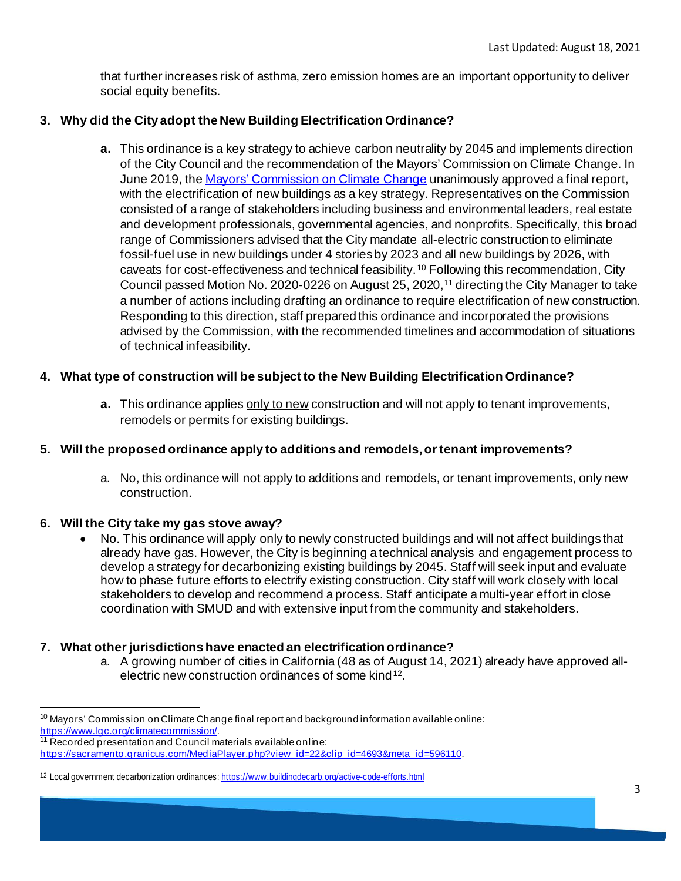that further increases risk of asthma, zero emission homes are an important opportunity to deliver social equity benefits.

# **3. Why did the City adopt the New Building Electrification Ordinance?**

**a.** This ordinance is a key strategy to achieve carbon neutrality by 2045 and implements direction of the City Council and the recommendation of the Mayors' Commission on Climate Change. In June 2019, th[e Mayors' Commission on Climate Change](https://www.lgc.org/climatecommission/) unanimously approved a final report, with the electrification of new buildings as a key strategy. Representatives on the Commission consisted of a range of stakeholders including business and environmental leaders, real estate and development professionals, governmental agencies, and nonprofits. Specifically, this broad range of Commissioners advised that the City mandate all-electric construction to eliminate fossil-fuel use in new buildings under 4 stories by 2023 and all new buildings by 2026, with caveats for cost-effectiveness and technical feasibility.[10](#page-2-0) Following this recommendation, City Council passed Motion No. 2020-0226 on August 25, 2020,<sup>11</sup> directing the City Manager to take a number of actions including drafting an ordinance to require electrification of new construction. Responding to this direction, staff prepared this ordinance and incorporated the provisions advised by the Commission, with the recommended timelines and accommodation of situations of technical infeasibility.

# **4. What type of construction will be subject to the New Building Electrification Ordinance?**

**a.** This ordinance applies only to new construction and will not apply to tenant improvements, remodels or permits for existing buildings.

# **5. Will the proposed ordinance apply to additions and remodels, or tenant improvements?**

a. No, this ordinance will not apply to additions and remodels, or tenant improvements, only new construction.

# **6. [Will the City take my gas stove away?](https://srcity.org/FAQ.aspx?TID=79)**

• No. This ordinance will apply only to newly constructed buildings and will not affect buildings that already have gas. However, the City is beginning a technical analysis and engagement process to develop a strategy for decarbonizing existing buildings by 2045. Staff will seek input and evaluate how to phase future efforts to electrify existing construction. City staff will work closely with local stakeholders to develop and recommend a process. Staff anticipate a multi-year effort in close coordination with SMUD and with extensive input from the community and stakeholders.

# **7. What other jurisdictions have enacted an electrification ordinance?**

a. A growing number of cities in California (48 as of August 14, 2021) already have approved allelectric new construction ordinances of some kind[12.](#page-2-2)

<span id="page-2-0"></span><sup>&</sup>lt;sup>10</sup> Mayors' Commission on Climate Change final report and background information available online:<br>https://www.lgc.org/climatecommission/.

<span id="page-2-1"></span><sup>&</sup>lt;sup>11</sup> Recorded presentation and Council materials available online: https://sacramento.granicus.com/MediaPlayer.php?view\_id=22&clip\_id=4693&meta\_id=596110.

<span id="page-2-2"></span><sup>12</sup> Local government decarbonization ordinances[: https://www.buildingdecarb.org/active-code-efforts.html](https://www.buildingdecarb.org/active-code-efforts.html)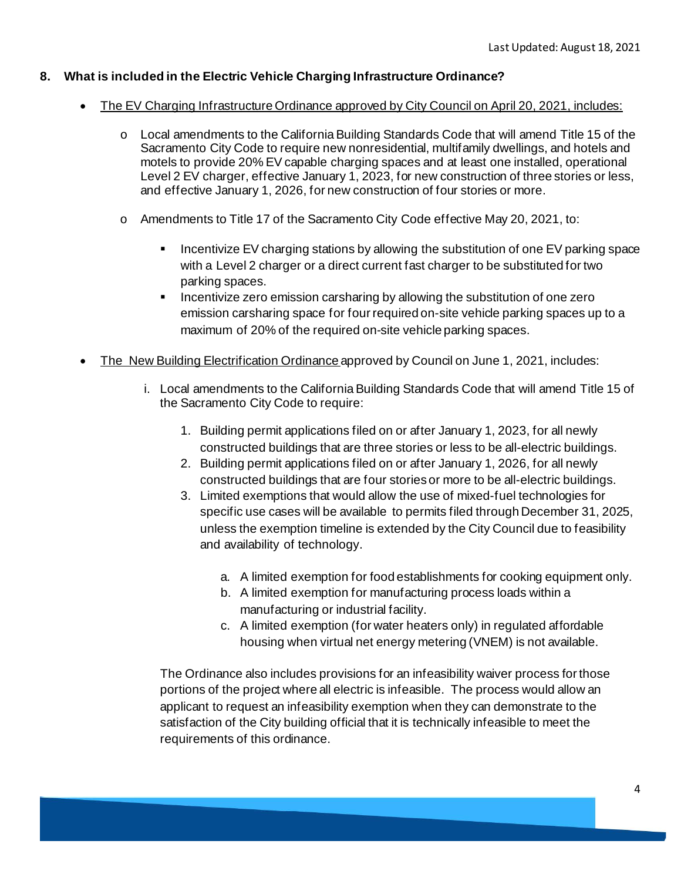# **8. What is included in the Electric Vehicle Charging Infrastructure Ordinance?**

- The EV Charging Infrastructure Ordinance approved by City Council on April 20, 2021, includes:
	- o Local amendments to the California Building Standards Code that will amend Title 15 of the Sacramento City Code to require new nonresidential, multifamily dwellings, and hotels and motels to provide 20% EV capable charging spaces and at least one installed, operational Level 2 EV charger, effective January 1, 2023, for new construction of three stories or less, and effective January 1, 2026, for new construction of four stories or more.
	- o Amendments to Title 17 of the Sacramento City Code effective May 20, 2021, to:
		- Incentivize EV charging stations by allowing the substitution of one EV parking space with a Level 2 charger or a direct current fast charger to be substituted for two parking spaces.
		- Incentivize zero emission carsharing by allowing the substitution of one zero emission carsharing space for four required on-site vehicle parking spaces up to a maximum of 20% of the required on-site vehicle parking spaces.
- The New Building Electrification Ordinance approved by Council on June 1, 2021, includes:
	- i. Local amendments to the CaliforniaBuilding Standards Code that will amend Title 15 of the Sacramento City Code to require:
		- 1. Building permit applications filed on or after January 1, 2023, for all newly constructed buildings that are three stories or less to be all-electric buildings.
		- 2. Building permit applications filed on or after January 1, 2026, for all newly constructed buildings that are four stories or more to be all-electric buildings.
		- 3. Limited exemptions that would allow the use of mixed-fuel technologies for specific use cases will be available to permits filed through December 31, 2025, unless the exemption timeline is extended by the City Council due to feasibility and availability of technology.
			- a. A limited exemption for food establishments for cooking equipment only.
			- b. A limited exemption for manufacturing process loads within a manufacturing or industrial facility.
			- c. A limited exemption (for water heaters only) in regulated affordable housing when virtual net energy metering (VNEM) is not available.

The Ordinance also includes provisions for an infeasibility waiver process for those portions of the project where all electric is infeasible. The process would allow an applicant to request an infeasibility exemption when they can demonstrate to the satisfaction of the City building official that it is technically infeasible to meet the requirements of this ordinance.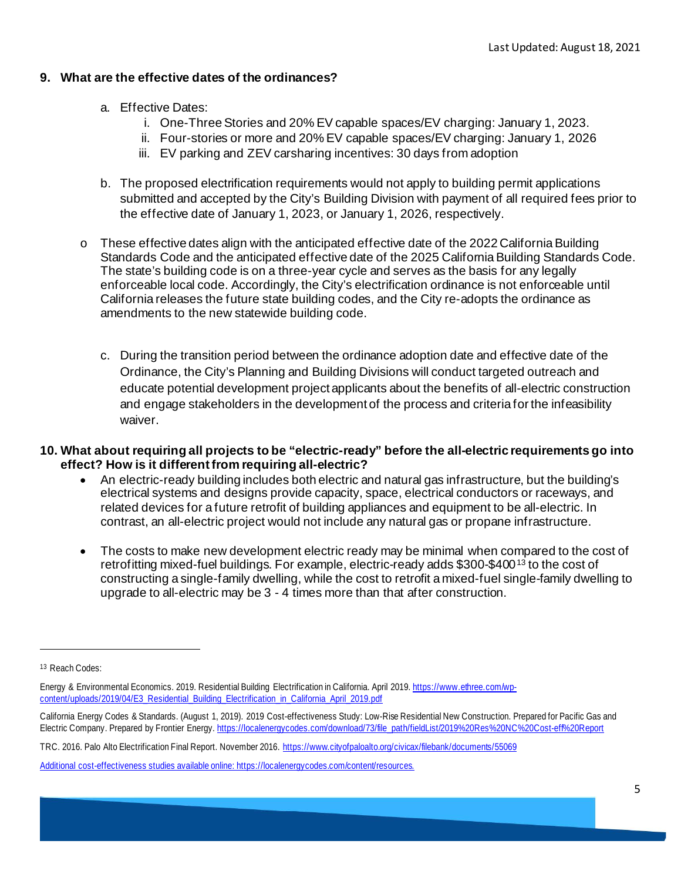# **9. What are the effective dates of the ordinances?**

- a. Effective Dates:
	- i. One-Three Stories and 20% EV capable spaces/EV charging: January 1, 2023.
	- ii. Four-stories or more and 20% EV capable spaces/EV charging: January 1, 2026
	- iii. EV parking and ZEV carsharing incentives: 30 days from adoption
- b. The proposed electrification requirements would not apply to building permit applications submitted and accepted by the City's Building Division with payment of all required fees prior to the effective date of January 1, 2023, or January 1, 2026, respectively.
- $\circ$  These effective dates align with the anticipated effective date of the 2022 California Building Standards Code and the anticipated effective date of the 2025 California Building Standards Code. The state's building code is on a three-year cycle and serves as the basis for any legally enforceable local code. Accordingly, the City's electrification ordinance is not enforceable until California releases the future state building codes, and the City re-adopts the ordinance as amendments to the new statewide building code.
	- c. During the transition period between the ordinance adoption date and effective date of the Ordinance, the City's Planning and Building Divisions will conduct targeted outreach and educate potential development project applicants about the benefits of all-electric construction and engage stakeholders in the development of the process and criteria for the infeasibility waiver.
- **10. What about requiring all projects to be "electric-ready" before the all-electric requirements go into effect? How is it different from requiring all-electric?** 
	- An electric-ready building includes both electric and natural gas infrastructure, but the building's electrical systems and designs provide capacity, space, electrical conductors or raceways, and related devices for a future retrofit of building appliances and equipment to be all-electric. In contrast, an all-electric project would not include any natural gas or propane infrastructure.
	- The costs to make new development electric ready may be minimal when compared to the cost of retrofitting mixed-fuel buildings. For example, electric-ready adds \$300-\$400<sup>[13](#page-4-0)</sup> to the cost of constructing a single-family dwelling, while the cost to retrofit a mixed-fuel single-family dwelling to upgrade to all-electric may be 3 - 4 times more than that after construction.

<span id="page-4-0"></span><sup>13</sup> Reach Codes:

Energy & Environmental Economics. 2019. Residential Building Electrification in California. April 2019[. https://www.ethree.com/wp](https://www.ethree.com/wp-content/uploads/2019/04/E3_Residential_Building_Electrification_in_California_April_2019.pdf)[content/uploads/2019/04/E3\\_Residential\\_Building\\_Electrification\\_in\\_California\\_April\\_2019.pdf](https://www.ethree.com/wp-content/uploads/2019/04/E3_Residential_Building_Electrification_in_California_April_2019.pdf)

California Energy Codes & Standards. (August 1, 2019). 2019 Cost-effectiveness Study: Low-Rise Residential New Construction. Prepared for Pacific Gas and Electric Company. Prepared by Frontier Energy[. https://localenergycodes.com/download/73/file\\_path/fieldList/2019%20Res%20NC%20Cost-eff%20Report](https://localenergycodes.com/download/73/file_path/fieldList/2019%20Res%20NC%20Cost-eff%20Report)

TRC. 2016. Palo Alto Electrification Final Report. November 2016.<https://www.cityofpaloalto.org/civicax/filebank/documents/55069>

Additional cost-effectiveness studies available online[: https://localenergycodes.com/content/resources.](https://localenergycodes.com/content/resources)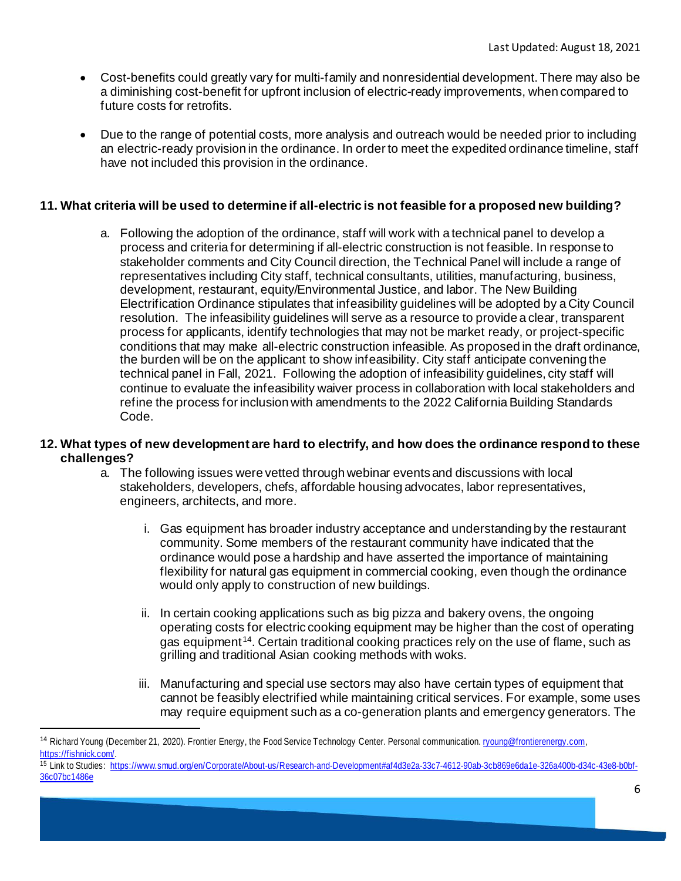- Cost-benefits could greatly vary for multi-family and nonresidential development. There may also be a diminishing cost-benefit for upfront inclusion of electric-ready improvements, when compared to future costs for retrofits.
- Due to the range of potential costs, more analysis and outreach would be needed prior to including an electric-ready provision in the ordinance. In order to meet the expedited ordinance timeline, staff have not included this provision in the ordinance.

# **11. What criteria will be used to determine if all-electric is not feasible for a proposed new building?**

a. Following the adoption of the ordinance, staff will work with a technical panel to develop a process and criteria for determining if all-electric construction is not feasible. In response to stakeholder comments and City Council direction, the Technical Panel will include a range of representatives including City staff, technical consultants, utilities, manufacturing, business, development, restaurant, equity/Environmental Justice, and labor. The New Building Electrification Ordinance stipulates that infeasibility guidelines will be adopted by a City Council resolution. The infeasibility guidelines will serve as a resource to provide a clear, transparent process for applicants, identify technologies that may not be market ready, or project-specific conditions that may make all-electric construction infeasible. As proposed in the draft ordinance, the burden will be on the applicant to show infeasibility. City staff anticipate convening the technical panel in Fall, 2021. Following the adoption of infeasibility guidelines, city staff will continue to evaluate the infeasibility waiver process in collaboration with local stakeholders and refine the process for inclusion with amendments to the 2022 California Building Standards Code.

# **12. What types of new development are hard to electrify, and how does the ordinance respond to these challenges?**

- a. The following issues were vetted through webinar events and discussions with local stakeholders, developers, chefs, affordable housing advocates, labor representatives, engineers, architects, and more.
	- i. Gas equipment has broader industry acceptance and understanding by the restaurant community. Some members of the restaurant community have indicated that the ordinance would pose a hardship and have asserted the importance of maintaining flexibility for natural gas equipment in commercial cooking, even though the ordinance would only apply to construction of new buildings.
	- ii. In certain cooking applications such as big pizza and bakery ovens, the ongoing operating costs for electric cooking equipment may be higher than the cost of operating gas equipment<sup>[14](#page-5-0)</sup>. Certain traditional cooking practices rely on the use of flame, such as grilling and traditional Asian cooking methods with woks.
	- iii. Manufacturing and special use sectors may also have certain types of equipment that cannot be feasibly electrified while maintaining critical services. For example, some uses may require equipment such as a co-generation plants and emergency generators. The

<span id="page-5-0"></span><sup>&</sup>lt;sup>14</sup> Richard Young (December 21, 2020). Frontier Energy, the Food Service Technology Center. Personal communication. [ryoung@frontierenergy.com,](mailto:ryoung@frontierenergy.com) <https://fishnick.com/>.

<sup>15</sup> Link to Studies: [https://www.smud.org/en/Corporate/About-us/Research-and-Development#af4d3e2a-33c7-4612-90ab-3cb869e6da1e-326a400b-d34c-43e8-b0bf-](https://www.smud.org/en/Corporate/About-us/Research-and-Development#af4d3e2a-33c7-4612-90ab-3cb869e6da1e-326a400b-d34c-43e8-b0bf-36c07bc1486e)[36c07bc1486e](https://www.smud.org/en/Corporate/About-us/Research-and-Development#af4d3e2a-33c7-4612-90ab-3cb869e6da1e-326a400b-d34c-43e8-b0bf-36c07bc1486e)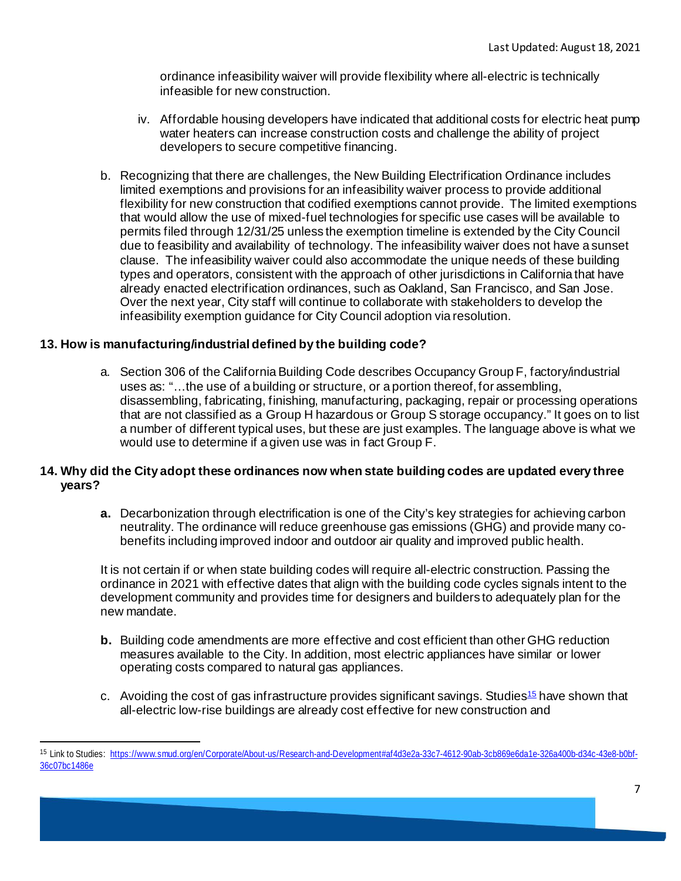ordinance infeasibility waiver will provide flexibility where all-electric is technically infeasible for new construction.

- iv. Affordable housing developers have indicated that additional costs for electric heat pump water heaters can increase construction costs and challenge the ability of project developers to secure competitive financing.
- b. Recognizing that there are challenges, the New Building Electrification Ordinance includes limited exemptions and provisions for an infeasibility waiver process to provide additional flexibility for new construction that codified exemptions cannot provide. The limited exemptions that would allow the use of mixed-fuel technologies for specific use cases will be available to permits filed through 12/31/25 unless the exemption timeline is extended by the City Council due to feasibility and availability of technology. The infeasibility waiver does not have a sunset clause. The infeasibility waiver could also accommodate the unique needs of these building types and operators, consistent with the approach of other jurisdictions in California that have already enacted electrification ordinances, such as Oakland, San Francisco, and San Jose. Over the next year, City staff will continue to collaborate with stakeholders to develop the infeasibility exemption guidance for City Council adoption via resolution.

# **13. How is manufacturing/industrial defined by the building code?**

a. Section 306 of the California Building Code describes Occupancy Group F, factory/industrial uses as: "…the use of a building or structure, or a portion thereof, for assembling, disassembling, fabricating, finishing, manufacturing, packaging, repair or processing operations that are not classified as a Group H hazardous or Group S storage occupancy." It goes on to list a number of different typical uses, but these are just examples. The language above is what we would use to determine if a given use was in fact Group F.

# **14. Why did the City adopt these ordinances now when state building codes are updated every three years?**

**a.** Decarbonization through electrification is one of the City's key strategies for achieving carbon neutrality. The ordinance will reduce greenhouse gas emissions (GHG) and provide many cobenefits including improved indoor and outdoor air quality and improved public health.

It is not certain if or when state building codes will require all-electric construction. Passing the ordinance in 2021 with effective dates that align with the building code cycles signals intent to the development community and provides time for designers and builders to adequately plan for the new mandate.

- **b.** Building code amendments are more effective and cost efficient than other GHG reduction measures available to the City. In addition, most electric appliances have similar or lower operating costs compared to natural gas appliances.
- c. Avoiding the cost of gas infrastructure provides significant savings. Studies<sup>15</sup> have shown that all-electric low-rise buildings are already cost effective for new construction and

<span id="page-6-0"></span><sup>15</sup> Link to Studies: [https://www.smud.org/en/Corporate/About-us/Research-and-Development#af4d3e2a-33c7-4612-90ab-3cb869e6da1e-326a400b-d34c-43e8-b0bf-](https://www.smud.org/en/Corporate/About-us/Research-and-Development#af4d3e2a-33c7-4612-90ab-3cb869e6da1e-326a400b-d34c-43e8-b0bf-36c07bc1486e)[36c07bc1486e](https://www.smud.org/en/Corporate/About-us/Research-and-Development#af4d3e2a-33c7-4612-90ab-3cb869e6da1e-326a400b-d34c-43e8-b0bf-36c07bc1486e)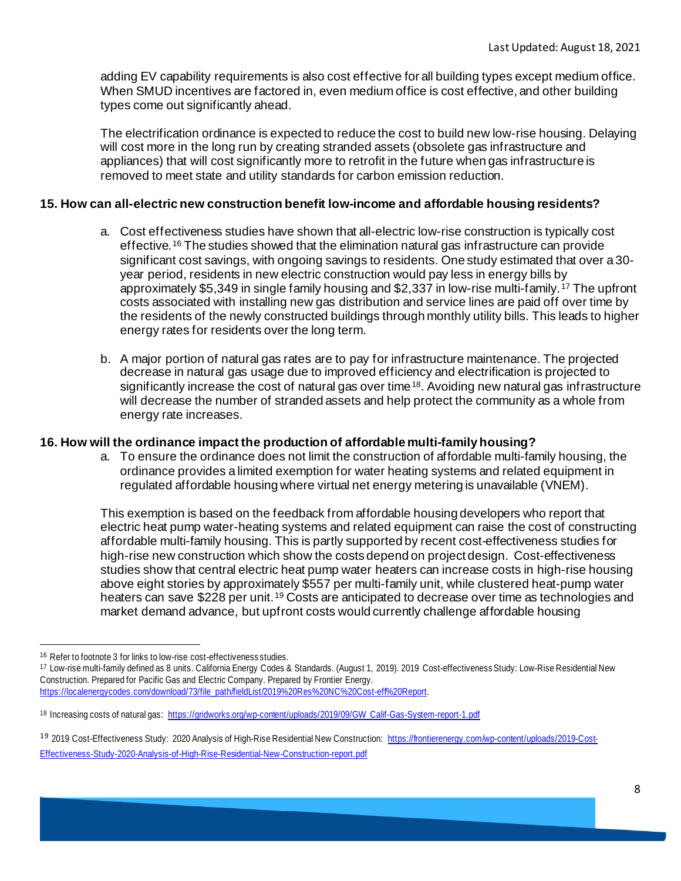adding EV capability requirements is also cost effective for all building types except medium office. When SMUD incentives are factored in, even medium office is cost effective, and other building types come out significantly ahead.

The electrification ordinance is expected to reduce the cost to build new low-rise housing. Delaying will cost more in the long run by creating stranded assets (obsolete gas infrastructure and appliances) that will cost significantly more to retrofit in the future when gas infrastructure is removed to meet state and utility standards for carbon emission reduction.

# **15. How can all-electric new construction benefit low-income and affordable housing residents?**

- a. Cost effectiveness studies have shown that all-electric low-rise construction is typically cost effective.[16](#page-7-0) The studies showed that the elimination natural gas infrastructure can provide significant cost savings, with ongoing savings to residents. One study estimated that over a 30 year period, residents in new electric construction would pay less in energy bills by approximately \$5,349 in single family housing and \$2,337 in low-rise multi-family.[17](#page-7-1) The upfront costs associated with installing new gas distribution and service lines are paid off over time by the residents of the newly constructed buildings through monthly utility bills. This leads to higher energy rates for residents over the long term.
- b. A major portion of natural gas rates are to pay for infrastructure maintenance. The projected decrease in natural gas usage due to improved efficiency and electrification is projected to significantly increase the cost of natural gas over time<sup>[18](#page-7-2)</sup>. Avoiding new natural gas infrastructure will decrease the number of stranded assets and help protect the community as a whole from energy rate increases.

# **16. How will the ordinance impact the production of affordable multi-family housing?**

a. To ensure the ordinance does not limit the construction of affordable multi-family housing, the ordinance provides a limited exemption for water heating systems and related equipment in regulated affordable housing where virtual net energy metering is unavailable (VNEM).

This exemption is based on the feedback from affordable housing developers who report that electric heat pump water-heating systems and related equipment can raise the cost of constructing affordable multi-family housing. This is partly supported by recent cost-effectiveness studies for high-rise new construction which show the costs depend on project design. Cost-effectiveness studies show that central electric heat pump water heaters can increase costs in high-rise housing above eight stories by approximately \$557 per multi-family unit, while clustered heat-pump water heaters can save \$228 per unit.<sup>[19](#page-7-3)</sup> Costs are anticipated to decrease over time as technologies and market demand advance, but upfront costs would currently challenge affordable housing

<span id="page-7-0"></span><sup>16</sup> Refer to footnote 3 for links to low-rise cost-effectiveness studies.<br><sup>17</sup> Low-rise multi-family defined as 8 units. California Energy Codes & Standards. (August 1, 2019). 2019 Cost-effectiveness Study: Low-Rise Resid Construction. Prepared for Pacific Gas and Electric Company. Prepared by Frontier Energy.

[https://localenergycodes.com/download/73/file\\_path/fieldList/2019%20Res%20NC%20Cost-eff%20Report](https://localenergycodes.com/download/73/file_path/fieldList/2019%20Res%20NC%20Cost-eff%20Report).

<span id="page-7-1"></span>

<span id="page-7-2"></span><sup>18</sup> Increasing costs of natural gas: [https://gridworks.org/wp-content/uploads/2019/09/GW\\_Calif-Gas-System-report-1.pdf](https://gridworks.org/wp-content/uploads/2019/09/GW_Calif-Gas-System-report-1.pdf)

<span id="page-7-3"></span><sup>19 2019</sup> Cost-Effectiveness Study: 2020 Analysis of High-Rise Residential New Construction[: https://frontierenergy.com/wp-content/uploads/2019-Cost-](https://frontierenergy.com/wp-content/uploads/2019-Cost-Effectiveness-Study-2020-Analysis-of-High-Rise-Residential-New-Construction-report.pdf)[Effectiveness-Study-2020-Analysis-of-High-Rise-Residential-New-Construction-report.pdf](https://frontierenergy.com/wp-content/uploads/2019-Cost-Effectiveness-Study-2020-Analysis-of-High-Rise-Residential-New-Construction-report.pdf)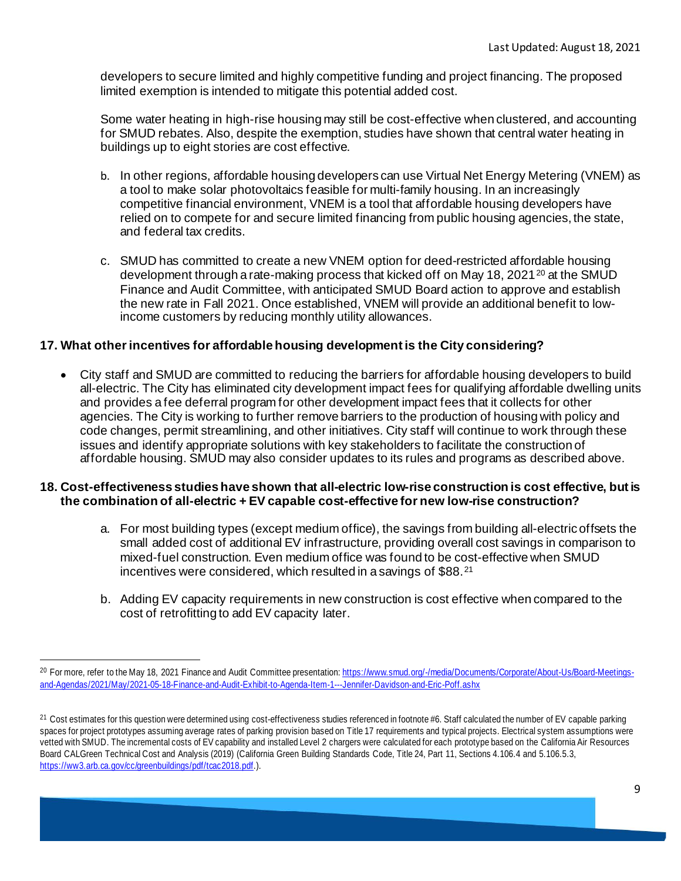developers to secure limited and highly competitive funding and project financing. The proposed limited exemption is intended to mitigate this potential added cost.

Some water heating in high-rise housing may still be cost-effective when clustered, and accounting for SMUD rebates. Also, despite the exemption, studies have shown that central water heating in buildings up to eight stories are cost effective.

- b. In other regions, affordable housing developers can use Virtual Net Energy Metering (VNEM) as a tool to make solar photovoltaics feasible for multi-family housing. In an increasingly competitive financial environment, VNEM is a tool that affordable housing developers have relied on to compete for and secure limited financing from public housing agencies, the state, and federal tax credits.
- c. SMUD has committed to create a new VNEM option for deed-restricted affordable housing development through a rate-making process that kicked off on May 18, [20](#page-8-0)21 $^{20}$  at the SMUD Finance and Audit Committee, with anticipated SMUD Board action to approve and establish the new rate in Fall 2021. Once established, VNEM will provide an additional benefit to lowincome customers by reducing monthly utility allowances.

# **17. What other incentives for affordable housing development is the City considering?**

• City staff and SMUD are committed to reducing the barriers for affordable housing developers to build all-electric. The City has eliminated city development impact fees for qualifying affordable dwelling units and provides a fee deferral program for other development impact fees that it collects for other agencies. The City is working to further remove barriers to the production of housing with policy and code changes, permit streamlining, and other initiatives. City staff will continue to work through these issues and identify appropriate solutions with key stakeholders to facilitate the construction of affordable housing. SMUD may also consider updates to its rules and programs as described above.

# **18. Cost-effectiveness studies have shown that all-electric low-rise construction is cost effective, but is the combination of all-electric + EV capable cost-effective for new low-rise construction?**

- a. For most building types (except medium office), the savings from building all-electric offsets the small added cost of additional EV infrastructure, providing overall cost savings in comparison to mixed-fuel construction. Even medium office was found to be cost-effective when SMUD incentives were considered, which resulted in a savings of \$88.[21](#page-8-1)
- b. Adding EV capacity requirements in new construction is cost effective when compared to the cost of retrofitting to add EV capacity later.

<span id="page-8-0"></span><sup>&</sup>lt;sup>20</sup> For more, refer to the May 18, 2021 Finance and Audit Committee presentatio[n: https://www.smud.org/-/media/Documents/Corporate/About-Us/Board-Meetings](https://www.smud.org/-/media/Documents/Corporate/About-Us/Board-Meetings-and-Agendas/2021/May/2021-05-18-Finance-and-Audit-Exhibit-to-Agenda-Item-1---Jennifer-Davidson-and-Eric-Poff.ashx)[and-Agendas/2021/May/2021-05-18-Finance-and-Audit-Exhibit-to-Agenda-Item-1---Jennifer-Davidson-and-Eric-Poff.ashx](https://www.smud.org/-/media/Documents/Corporate/About-Us/Board-Meetings-and-Agendas/2021/May/2021-05-18-Finance-and-Audit-Exhibit-to-Agenda-Item-1---Jennifer-Davidson-and-Eric-Poff.ashx)

<span id="page-8-1"></span><sup>21</sup> Cost estimates for this question were determined using cost-effectiveness studies referenced in footnote #6. Staff calculated the number of EV capable parking spaces for project prototypes assuming average rates of parking provision based on Title 17 requirements and typical projects. Electrical system assumptions were vetted with SMUD. The incremental costs of EV capability and installed Level 2 chargers were calculated for each prototype based on the California Air Resources Board CALGreen Technical Cost and Analysis (2019) (California Green Building Standards Code, Title 24, Part 11, Sections 4.106.4 and 5.106.5.3, <https://ww3.arb.ca.gov/cc/greenbuildings/pdf/tcac2018.pdf>.).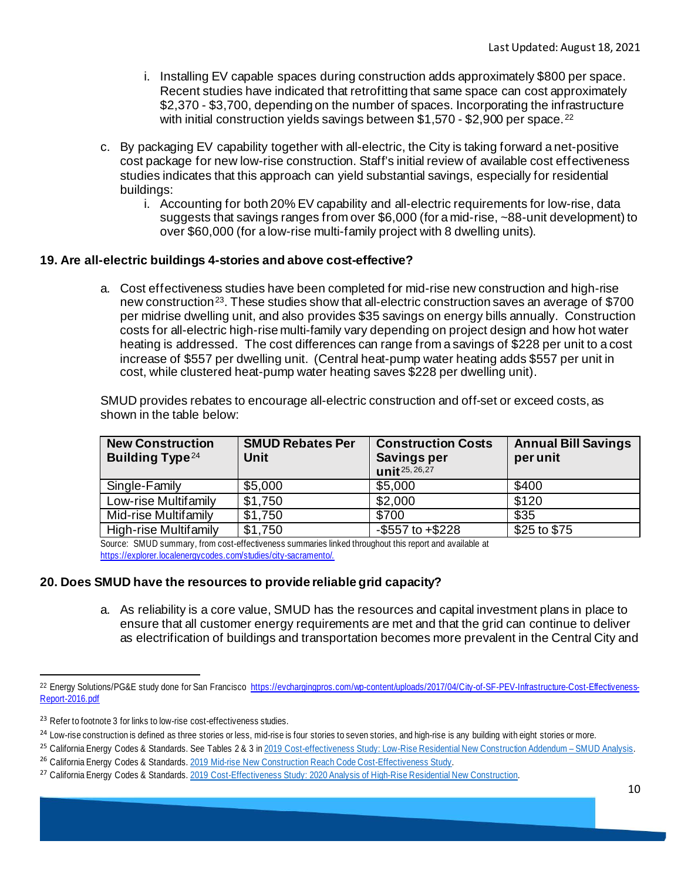- i. Installing EV capable spaces during construction adds approximately \$800 per space. Recent studies have indicated that retrofitting that same space can cost approximately \$2,370 - \$3,700, depending on the number of spaces. Incorporating the infrastructure with initial construction yields savings between \$1,570 - \$2,900 per space.<sup>[22](#page-9-0)</sup>
- c. By packaging EV capability together with all-electric, the City is taking forward a net-positive cost package for new low-rise construction. Staff's initial review of available cost effectiveness studies indicates that this approach can yield substantial savings, especially for residential buildings:
	- i. Accounting for both 20% EV capability and all-electric requirements for low-rise, data suggests that savings ranges from over \$6,000 (for a mid-rise, ~88-unit development) to over \$60,000 (for a low-rise multi-family project with 8 dwelling units).

# **19. Are all-electric buildings 4-stories and above cost-effective?**

a. Cost effectiveness studies have been completed for mid-rise new construction and high-rise new construction<sup>23</sup>. These studies show that all-electric construction saves an average of \$700 per midrise dwelling unit, and also provides \$35 savings on energy bills annually. Construction costs for all-electric high-rise multi-family vary depending on project design and how hot water heating is addressed. The cost differences can range from a savings of \$228 per unit to a cost increase of \$557 per dwelling unit. (Central heat-pump water heating adds \$557 per unit in cost, while clustered heat-pump water heating saves \$228 per dwelling unit).

SMUD provides rebates to encourage all-electric construction and off-set or exceed costs, as shown in the table below:

| <b>New Construction</b><br><b>Building Type</b> <sup>24</sup> | <b>SMUD Rebates Per</b><br>Unit | <b>Construction Costs</b><br><b>Savings per</b><br>unit <sup>25, 26, 27</sup> | <b>Annual Bill Savings</b><br>per unit |
|---------------------------------------------------------------|---------------------------------|-------------------------------------------------------------------------------|----------------------------------------|
| Single-Family                                                 | \$5,000                         | \$5,000                                                                       | \$400                                  |
| Low-rise Multifamily                                          | \$1,750                         | \$2,000                                                                       | \$120                                  |
| Mid-rise Multifamily                                          | \$1,750                         | \$700                                                                         | \$35                                   |
| High-rise Multifamily                                         | \$1,750                         | $-$ \$557 to $+$ \$228                                                        | \$25 to \$75                           |

Source: SMUD summary, from cost-effectiveness summaries linked throughout this report and available at <https://explorer.localenergycodes.com/studies/city-sacramento/>.

# **20. Does SMUD have the resources to provide reliable grid capacity?**

a. As reliability is a core value, SMUD has the resources and capital investment plans in place to ensure that all customer energy requirements are met and that the grid can continue to deliver as electrification of buildings and transportation becomes more prevalent in the Central City and

<span id="page-9-0"></span><sup>22</sup> Energy Solutions/PG&E study done for San Francisco [https://evchargingpros.com/wp-content/uploads/2017/04/City-of-SF-PEV-Infrastructure-Cost-Effectiveness-](https://evchargingpros.com/wp-content/uploads/2017/04/City-of-SF-PEV-Infrastructure-Cost-Effectiveness-Report-2016.pdf)[Report-2016.pdf](https://evchargingpros.com/wp-content/uploads/2017/04/City-of-SF-PEV-Infrastructure-Cost-Effectiveness-Report-2016.pdf)

<span id="page-9-1"></span><sup>&</sup>lt;sup>23</sup> Refer to footnote 3 for links to low-rise cost-effectiveness studies.

<span id="page-9-2"></span><sup>&</sup>lt;sup>24</sup> Low-rise construction is defined as three stories or less, mid-rise is four stories to seven stories, and high-rise is any building with eight stories or more.

<span id="page-9-3"></span><sup>&</sup>lt;sup>25</sup> California Energy Codes & Standards. See Tables 2 & 3 in [2019 Cost-effectiveness Study: Low-Rise Residential New Construction Addendum](https://www.smud.org/-/media/Documents/Corporate/About-Us/Energy-Research-and-Development/2019-Low-Rise-Reach-Code-Analysis_SMUD_Final.ashx) – SMUD Analysis. <sup>26</sup> California Energy Codes & Standards. [2019 Mid-rise New Construction Reach Code Cost-Effectiveness Study](https://www.smud.org/-/media/Documents/Corporate/About-Us/Energy-Research-and-Development/2019-Mid-rise-NC-Cost-Eff-Report-1.ashx).

<span id="page-9-5"></span><span id="page-9-4"></span><sup>27</sup> California Energy Codes & Standards. [2019 Cost-Effectiveness Study: 2020 Analysis of High-Rise Residential New Construction.](https://www.smud.org/-/media/Documents/Corporate/About-Us/Energy-Research-and-Development/2019-High-Rise-NC-Cost-Eff-Report-2021-02-22.ashx)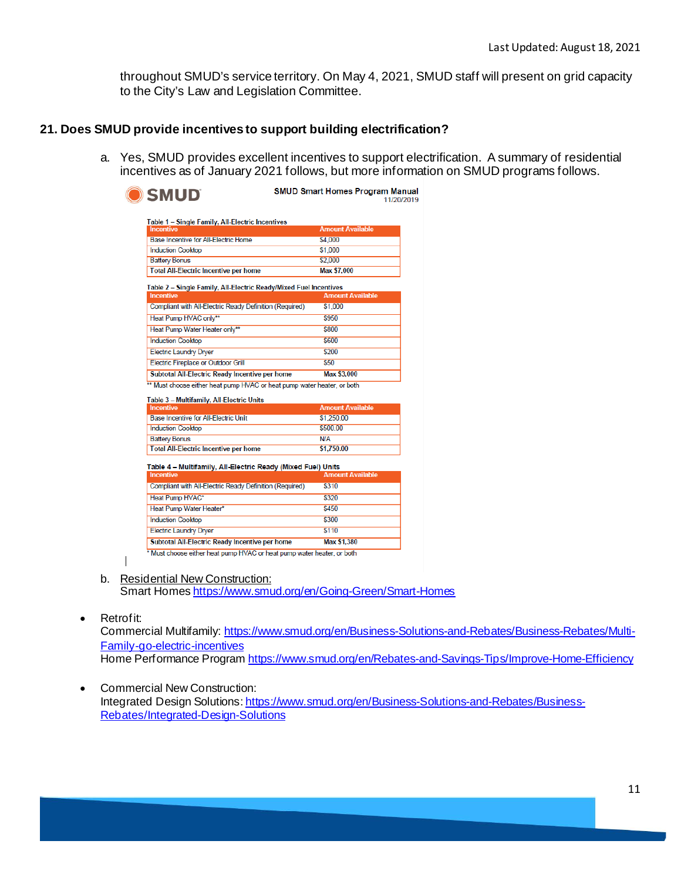throughout SMUD's service territory. On May 4, 2021, SMUD staff will present on grid capacity to the City's Law and Legislation Committee.

### **21. Does SMUD provide incentives to support building electrification?**

a. Yes, SMUD provides excellent incentives to support electrification. A summary of residential incentives as of January 2021 follows, but more information on SMUD programs follows.

| <b>SMUD Smart Homes Program Manual</b><br>11/20/2019                                    |  |
|-----------------------------------------------------------------------------------------|--|
|                                                                                         |  |
| <b>Amount Available</b>                                                                 |  |
| \$4,000                                                                                 |  |
| \$1,000                                                                                 |  |
| \$2,000                                                                                 |  |
| Max \$7,000                                                                             |  |
| Table 2 - Single Family, All-Electric Ready/Mixed Fuel Incentives                       |  |
| <b>Amount Available</b>                                                                 |  |
| Compliant with All-Electric Ready Definition (Required)<br>\$1,000                      |  |
| \$950                                                                                   |  |
| \$800                                                                                   |  |
| \$600                                                                                   |  |
| \$200                                                                                   |  |
| \$50                                                                                    |  |
| Subtotal All-Electric Ready Incentive per home<br><b>Max \$3,000</b>                    |  |
| ** Must choose either heat pump HVAC or heat pump water heater, or both                 |  |
|                                                                                         |  |
| <b>Amount Available</b>                                                                 |  |
| \$1,250.00                                                                              |  |
|                                                                                         |  |
| \$500.00                                                                                |  |
| N/A                                                                                     |  |
| \$1,750.00                                                                              |  |
|                                                                                         |  |
| Table 4 - Multifamily, All-Electric Ready (Mixed Fuel) Units<br><b>Amount Available</b> |  |
| Compliant with All-Electric Ready Definition (Required)<br>\$310                        |  |
| \$320                                                                                   |  |
| \$450                                                                                   |  |
| \$300                                                                                   |  |
| \$110                                                                                   |  |
| Subtotal All-Electric Ready Incentive per home<br><b>Max \$1,380</b>                    |  |
|                                                                                         |  |

b. Residential New Construction:

Smart Home[s https://www.smud.org/en/Going-Green/Smart-Homes](https://www.smud.org/en/Going-Green/Smart-Homes)

#### • Retrofit:

Commercial Multifamily[: https://www.smud.org/en/Business-Solutions-and-Rebates/Business-Rebates/Multi-](https://www.smud.org/en/Business-Solutions-and-Rebates/Business-Rebates/Multi-Family-go-electric-incentives)[Family-go-electric-incentives](https://www.smud.org/en/Business-Solutions-and-Rebates/Business-Rebates/Multi-Family-go-electric-incentives)

- Home Performance Progra[m https://www.smud.org/en/Rebates-and-Savings-Tips/Improve-Home-Efficiency](https://www.smud.org/en/Rebates-and-Savings-Tips/Improve-Home-Efficiency)
- Commercial New Construction: Integrated Design Solutions[: https://www.smud.org/en/Business-Solutions-and-Rebates/Business-](https://www.smud.org/en/Business-Solutions-and-Rebates/Business-Rebates/Integrated-Design-Solutions)[Rebates/Integrated-Design-Solutions](https://www.smud.org/en/Business-Solutions-and-Rebates/Business-Rebates/Integrated-Design-Solutions)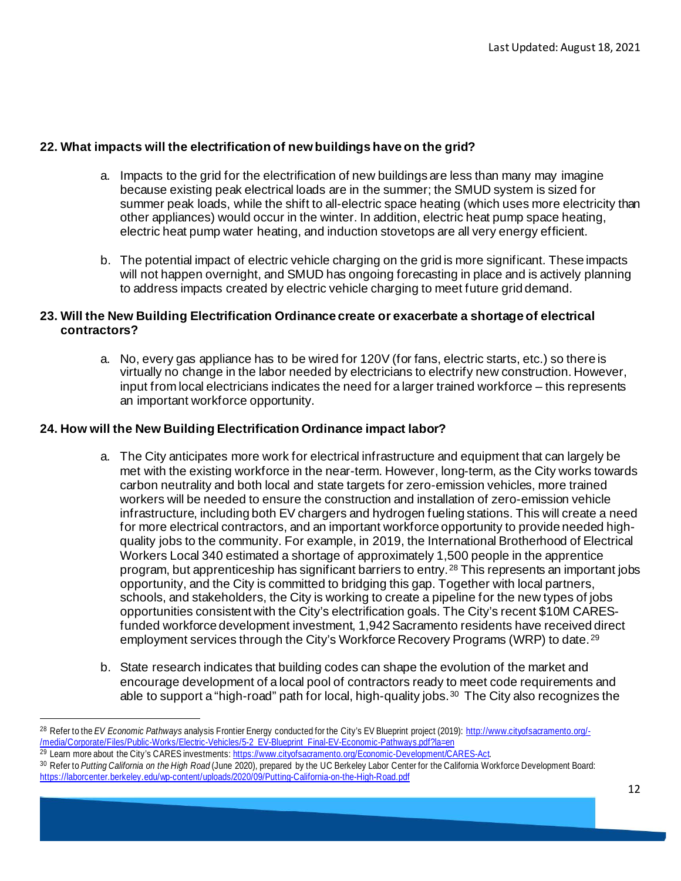# **22. What impacts will the electrification of new buildings have on the grid?**

- a. Impacts to the grid for the electrification of new buildings are less than many may imagine because existing peak electrical loads are in the summer; the SMUD system is sized for summer peak loads, while the shift to all-electric space heating (which uses more electricity than other appliances) would occur in the winter. In addition, electric heat pump space heating, electric heat pump water heating, and induction stovetops are all very energy efficient.
- b. The potential impact of electric vehicle charging on the grid is more significant. These impacts will not happen overnight, and SMUD has ongoing forecasting in place and is actively planning to address impacts created by electric vehicle charging to meet future grid demand.

# **23. Will the New Building Electrification Ordinance create or exacerbate a shortage of electrical contractors?**

a. No, every gas appliance has to be wired for 120V (for fans, electric starts, etc.) so there is virtually no change in the labor needed by electricians to electrify new construction. However, input from local electricians indicates the need for a larger trained workforce – this represents an important workforce opportunity.

# **24. How will the New Building Electrification Ordinance impact labor?**

- a. The City anticipates more work for electrical infrastructure and equipment that can largely be met with the existing workforce in the near-term. However, long-term, as the City works towards carbon neutrality and both local and state targets for zero-emission vehicles, more trained workers will be needed to ensure the construction and installation of zero-emission vehicle infrastructure, including both EV chargers and hydrogen fueling stations. This will create a need for more electrical contractors, and an important workforce opportunity to provide needed highquality jobs to the community. For example, in 2019, the International Brotherhood of Electrical Workers Local 340 estimated a shortage of approximately 1,500 people in the apprentice program, but apprenticeship has significant barriers to entry.<sup>[28](#page-11-0)</sup> This represents an important jobs opportunity, and the City is committed to bridging this gap. Together with local partners, schools, and stakeholders, the City is working to create a pipeline for the new types of jobs opportunities consistent with the City's electrification goals. The City's recent \$10M CARESfunded workforce development investment, 1,942 Sacramento residents have received direct employment services through the City's Workforce Recovery Programs (WRP) to date.<sup>[29](#page-11-1)</sup>
- b. State research indicates that building codes can shape the evolution of the market and encourage development of a local pool of contractors ready to meet code requirements and able to support a "high-road" path for local, high-quality jobs.<sup>30</sup> The City also recognizes the

<span id="page-11-0"></span><sup>28</sup> Refer to the *EV Economic Pathways* analysis Frontier Energy conducted for the City's EV Blueprint project (2019)[: http://www.cityofsacramento.org/-](http://www.cityofsacramento.org/-/media/Corporate/Files/Public-Works/Electric-Vehicles/5-2_EV-Blueprint_Final-EV-Economic-Pathways.pdf?la=en) [/media/Corporate/Files/Public-Works/Electric-Vehicles/5-2\\_EV-Blueprint\\_Final-EV-Economic-Pathways.pdf?la=en](http://www.cityofsacramento.org/-/media/Corporate/Files/Public-Works/Electric-Vehicles/5-2_EV-Blueprint_Final-EV-Economic-Pathways.pdf?la=en)<br><sup>29</sup> Learn more about the City's CARES investments: https://www.cityofsacramento.org/Economic-Development/CARES-Ac

<span id="page-11-1"></span>

<span id="page-11-2"></span><sup>30</sup> Refer to Putting California on the High Road (June 2020), prepared by the UC Berkeley Labor Center for the California Workforce Development Board: <https://laborcenter.berkeley.edu/wp-content/uploads/2020/09/Putting-California-on-the-High-Road.pdf>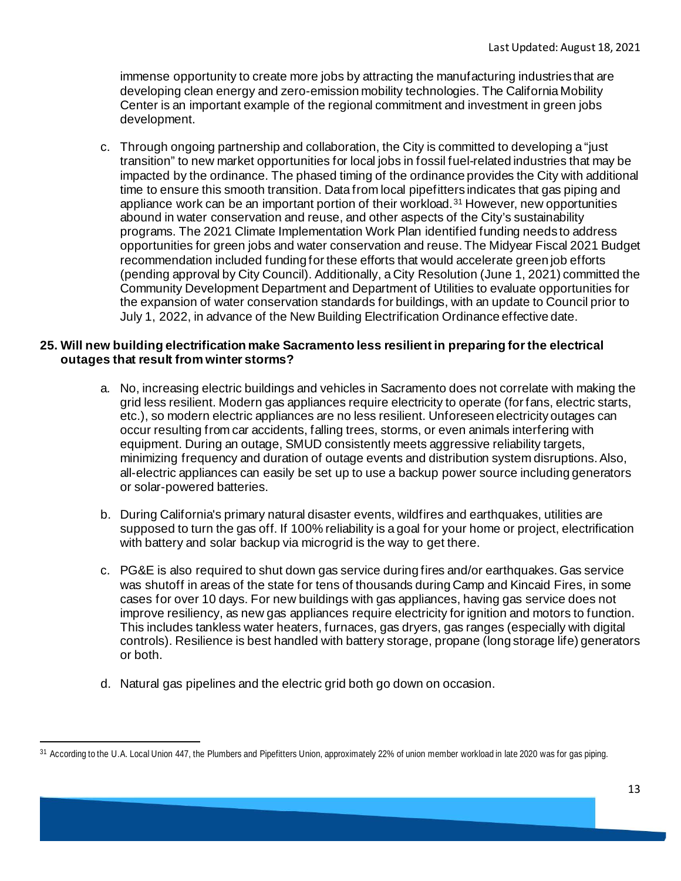immense opportunity to create more jobs by attracting the manufacturing industries that are developing clean energy and zero-emission mobility technologies. The California Mobility Center is an important example of the regional commitment and investment in green jobs development.

c. Through ongoing partnership and collaboration, the City is committed to developing a "just transition" to new market opportunities for local jobs in fossil fuel-related industries that may be impacted by the ordinance. The phased timing of the ordinance provides the City with additional time to ensure this smooth transition. Data from local pipefitters indicates that gas piping and appliance work can be an important portion of their workload.<sup>[31](#page-12-0)</sup> However, new opportunities abound in water conservation and reuse, and other aspects of the City's sustainability programs. The 2021 Climate Implementation Work Plan identified funding needs to address opportunities for green jobs and water conservation and reuse. The Midyear Fiscal 2021 Budget recommendation included funding for these efforts that would accelerate green job efforts (pending approval by City Council). Additionally, a City Resolution (June 1, 2021) committed the Community Development Department and Department of Utilities to evaluate opportunities for the expansion of water conservation standards for buildings, with an update to Council prior to July 1, 2022, in advance of the New Building Electrification Ordinance effective date.

# **25. Will new building electrification make Sacramento less resilient in preparing for the electrical outages that result from winter storms?**

- a. No, increasing electric buildings and vehicles in Sacramento does not correlate with making the grid less resilient. Modern gas appliances require electricity to operate (for fans, electric starts, etc.), so modern electric appliances are no less resilient. Unforeseen electricity outages can occur resulting from car accidents, falling trees, storms, or even animals interfering with equipment. During an outage, SMUD consistently meets aggressive reliability targets, minimizing frequency and duration of outage events and distribution system disruptions.Also, all-electric appliances can easily be set up to use a backup power source including generators or solar-powered batteries.
- b. During California's primary natural disaster events, wildfires and earthquakes, utilities are supposed to turn the gas off. If 100% reliability is a goal for your home or project, electrification with battery and solar backup via microgrid is the way to get there.
- c. PG&E is also required to shut down gas service during fires and/or earthquakes. Gas service was shutoff in areas of the state for tens of thousands during Camp and Kincaid Fires, in some cases for over 10 days. For new buildings with gas appliances, having gas service does not improve resiliency, as new gas appliances require electricity for ignition and motors to function. This includes tankless water heaters, furnaces, gas dryers, gas ranges (especially with digital controls). Resilience is best handled with battery storage, propane (long storage life) generators or both.
- d. Natural gas pipelines and the electric grid both go down on occasion.

<span id="page-12-0"></span><sup>31</sup> According to the U.A. Local Union 447, the Plumbers and Pipefitters Union, approximately 22% of union member workload in late 2020 was for gas piping.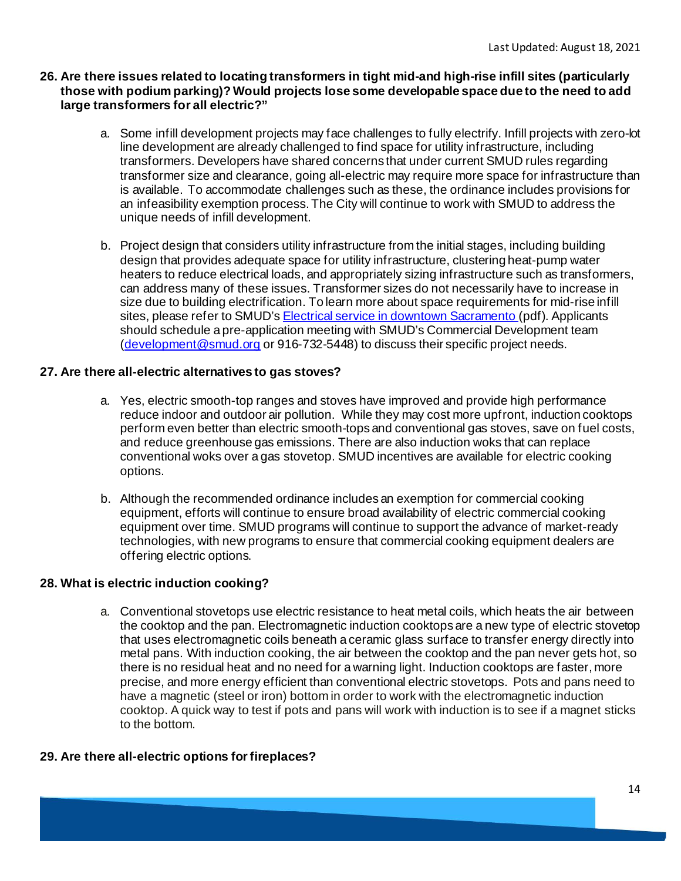### **26. Are there issues related to locating transformers in tight mid-and high-rise infill sites (particularly those with podium parking)? Would projects lose some developable space due to the need to add large transformers for all electric?"**

- a. Some infill development projects may face challenges to fully electrify. Infill projects with zero-lot line development are already challenged to find space for utility infrastructure, including transformers. Developers have shared concerns that under current SMUD rules regarding transformer size and clearance, going all-electric may require more space for infrastructure than is available. To accommodate challenges such as these, the ordinance includes provisions for an infeasibility exemption process. The City will continue to work with SMUD to address the unique needs of infill development.
- b. Project design that considers utility infrastructure from the initial stages, including building design that provides adequate space for utility infrastructure, clustering heat-pump water heaters to reduce electrical loads, and appropriately sizing infrastructure such as transformers, can address many of these issues. Transformer sizes do not necessarily have to increase in size due to building electrification. To learn more about space requirements for mid-rise infill sites, please refer to SMUD'[s Electrical service in downtown Sacramento \(](https://www.smud.org/en/Business-Solutions-and-Rebates/Design-and-Construction-Services/smud.org/-/media/Documents/Business-Solutions-and-Rebates/Design-and-Constructions-Services/dcs-Electric-Service-in-Downtown-Sacramento.ashx?h=16&thn=1&w=16&hash=53E4BA66F6858E06923F89F77ACDCEF7)pdf). Applicants should schedule a pre-application meeting with SMUD's Commercial Development team [\(development@smud.org](mailto:development@smud.org) or 916-732-5448) to discuss their specific project needs.

#### **27. Are there all-electric alternatives to gas stoves?**

- a. Yes, electric smooth-top ranges and stoves have improved and provide high performance reduce indoor and outdoor air pollution. While they may cost more upfront, induction cooktops perform even better than electric smooth-tops and conventional gas stoves, save on fuel costs, and reduce greenhouse gas emissions. There are also induction woks that can replace conventional woks over a gas stovetop. SMUD incentives are available for electric cooking options.
- b. Although the recommended ordinance includes an exemption for commercial cooking equipment, efforts will continue to ensure broad availability of electric commercial cooking equipment over time. SMUD programs will continue to support the advance of market-ready technologies, with new programs to ensure that commercial cooking equipment dealers are offering electric options.

#### **28. [What is electric induction cooking?](https://srcity.org/FAQ.aspx?TID=79)**

a. Conventional stovetops use electric resistance to heat metal coils, which heats the air between the cooktop and the pan. Electromagnetic induction cooktops are a new type of electric stovetop that uses electromagnetic coils beneath a ceramic glass surface to transfer energy directly into metal pans. With induction cooking, the air between the cooktop and the pan never gets hot, so there is no residual heat and no need for a warning light. Induction cooktops are faster, more precise, and more energy efficient than conventional electric stovetops. Pots and pans need to have a magnetic (steel or iron) bottom in order to work with the electromagnetic induction cooktop. A quick way to test if pots and pans will work with induction is to see if a magnet sticks to the bottom.

# **29. Are there all-electric options for fireplaces?**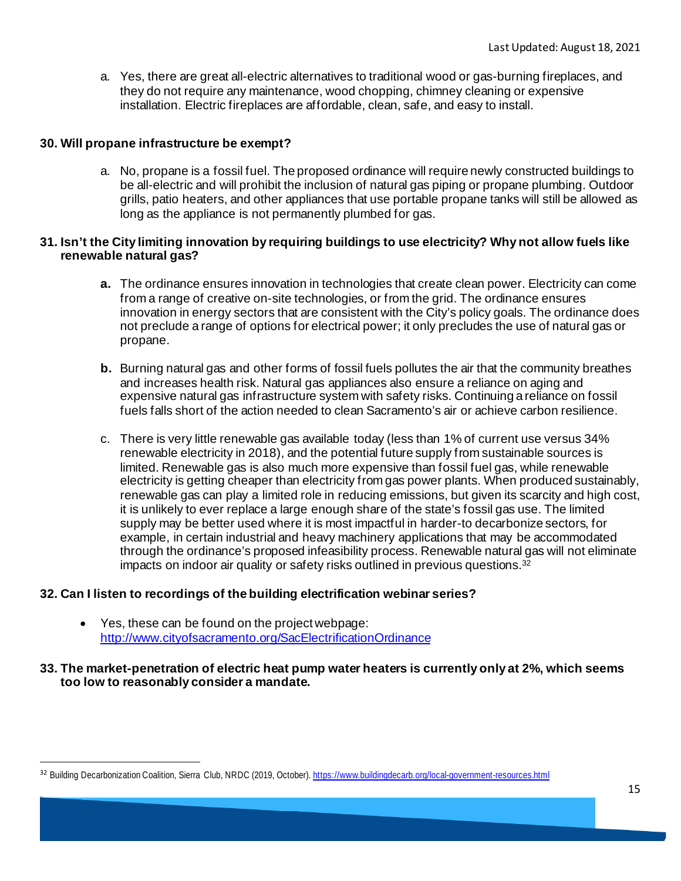a. Yes, there are great all-electric alternatives to traditional wood or gas-burning fireplaces, and they do not require any maintenance, wood chopping, chimney cleaning or expensive installation. Electric fireplaces are affordable, clean, safe, and easy to install.

#### **30. Will propane infrastructure be exempt?**

a. No, propane is a fossil fuel. The proposed ordinance will require newly constructed buildings to be all-electric and will prohibit the inclusion of natural gas piping or propane plumbing. Outdoor grills, patio heaters, and other appliances that use portable propane tanks will still be allowed as long as the appliance is not permanently plumbed for gas.

#### **31. Isn't the City limiting innovation by requiring buildings to use electricity? Why not allow fuels like renewable natural gas?**

- **a.** The ordinance ensures innovation in technologies that create clean power. Electricity can come from a range of creative on-site technologies, or from the grid. The ordinance ensures innovation in energy sectors that are consistent with the City's policy goals. The ordinance does not preclude a range of options for electrical power; it only precludes the use of natural gas or propane.
- **b.** Burning natural gas and other forms of fossil fuels pollutes the air that the community breathes and increases health risk. Natural gas appliances also ensure a reliance on aging and expensive natural gas infrastructure system with safety risks. Continuing a reliance on fossil fuels falls short of the action needed to clean Sacramento's air or achieve carbon resilience.
- c. There is very little renewable gas available today (less than 1% of current use versus 34% renewable electricity in 2018), and the potential future supply from sustainable sources is limited. Renewable gas is also much more expensive than fossil fuel gas, while renewable electricity is getting cheaper than electricity from gas power plants. When produced sustainably, renewable gas can play a limited role in reducing emissions, but given its scarcity and high cost, it is unlikely to ever replace a large enough share of the state's fossil gas use. The limited supply may be better used where it is most impactful in harder-to decarbonize sectors, for example, in certain industrial and heavy machinery applications that may be accommodated through the ordinance's proposed infeasibility process. Renewable natural gas will not eliminate impacts on indoor air quality or safety risks outlined in previous questions.<sup>[32](#page-14-0)</sup>

# **32. Can I listen to recordings of the building electrification webinar series?**

• Yes, these can be found on the project webpage: <http://www.cityofsacramento.org/SacElectrificationOrdinance>

#### **33. The market-penetration of electric heat pump water heaters is currently only at 2%, which seems too low to reasonably consider a mandate.**

<span id="page-14-0"></span><sup>32</sup> Building Decarbonization Coalition, Sierra Club, NRDC (2019, October)[. https://www.buildingdecarb.org/local-government-resources.html](https://www.buildingdecarb.org/local-government-resources.html)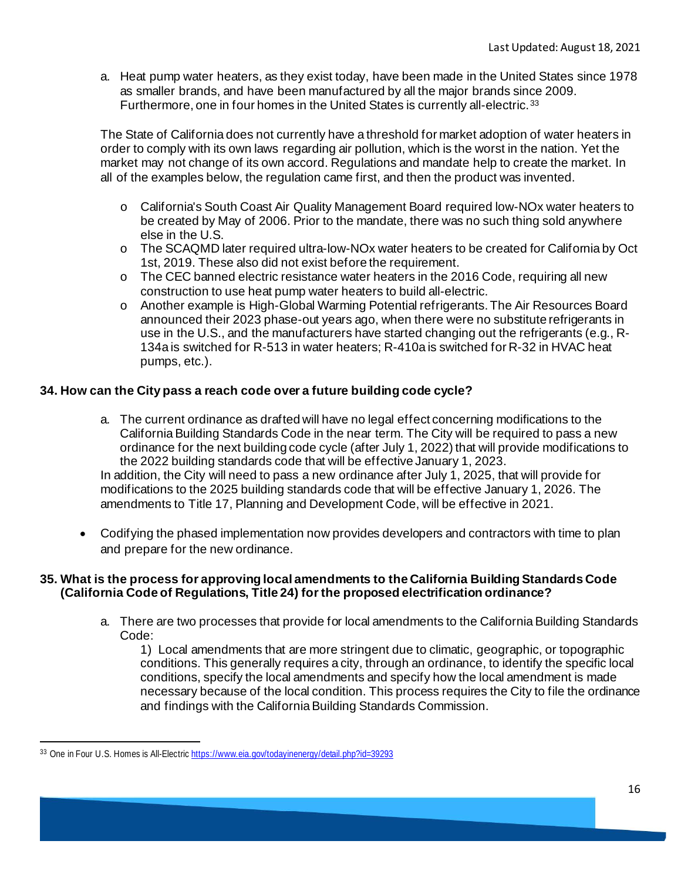a. Heat pump water heaters, as they exist today, have been made in the United States since 1978 as smaller brands, and have been manufactured by all the major brands since 2009. Furthermore, one in four homes in the United States is currently all-electric.<sup>[33](#page-15-0)</sup>

The State of California does not currently have a threshold for market adoption of water heaters in order to comply with its own laws regarding air pollution, which is the worst in the nation. Yet the market may not change of its own accord. Regulations and mandate help to create the market. In all of the examples below, the regulation came first, and then the product was invented.

- o California's South Coast Air Quality Management Board required low-NOx water heaters to be created by May of 2006. Prior to the mandate, there was no such thing sold anywhere else in the U.S.
- o The SCAQMD later required ultra-low-NOx water heaters to be created for California by Oct 1st, 2019. These also did not exist before the requirement.
- $\circ$  The CEC banned electric resistance water heaters in the 2016 Code, requiring all new construction to use heat pump water heaters to build all-electric.
- o Another example is High-Global Warming Potential refrigerants. The Air Resources Board announced their 2023 phase-out years ago, when there were no substitute refrigerants in use in the U.S., and the manufacturers have started changing out the refrigerants (e.g., R-134a is switched for R-513 in water heaters; R-410a is switched for R-32 in HVAC heat pumps, etc.).

# **34. How can the City pass a reach code over a future building code cycle?**

a. The current ordinance as drafted will have no legal effect concerning modifications to the California Building Standards Code in the near term. The City will be required to pass a new ordinance for the next building code cycle (after July 1, 2022) that will provide modifications to the 2022 building standards code that will be effective January 1, 2023. In addition, the City will need to pass a new ordinance after July 1, 2025, that will provide for

modifications to the 2025 building standards code that will be effective January 1, 2026. The amendments to Title 17, Planning and Development Code, will be effective in 2021.

• Codifying the phased implementation now provides developers and contractors with time to plan and prepare for the new ordinance.

#### **35. What is the process for approving local amendments to the California Building Standards Code (California Code of Regulations, Title 24) for the proposed electrification ordinance?**

a. There are two processes that provide for local amendments to the California Building Standards Code:

1) Local amendments that are more stringent due to climatic, geographic, or topographic conditions. This generally requires a city, through an ordinance, to identify the specific local conditions, specify the local amendments and specify how the local amendment is made necessary because of the local condition. This process requires the City to file the ordinance and findings with the California Building Standards Commission.

<span id="page-15-0"></span><sup>33</sup> One in Four U.S. Homes is All-Electric <https://www.eia.gov/todayinenergy/detail.php?id=39293>